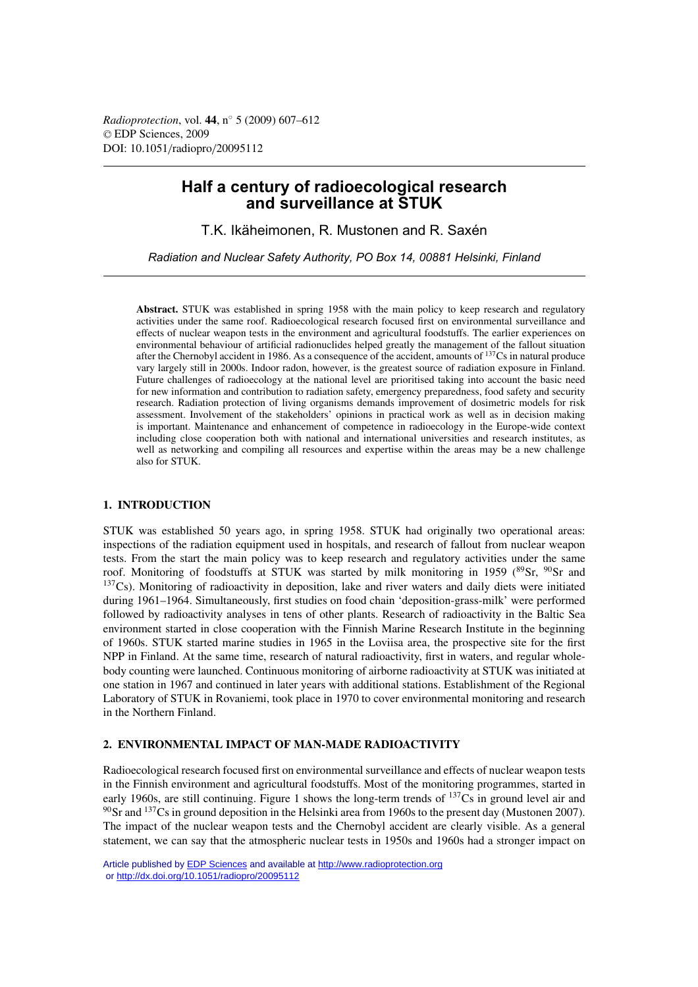*Radioprotection*, vol. **44**, n◦ 5 (2009) 607–612 © EDP Sciences, 2009 DOI: 10.1051/radiopro/20095112

# **Half a century of radioecological research and surveillance at STUK**

T.K. Ikäheimonen, R. Mustonen and R. Saxén

*Radiation and Nuclear Safety Authority, PO Box 14, 00881 Helsinki, Finland*

**Abstract.** STUK was established in spring 1958 with the main policy to keep research and regulatory activities under the same roof. Radioecological research focused first on environmental surveillance and effects of nuclear weapon tests in the environment and agricultural foodstuffs. The earlier experiences on environmental behaviour of artificial radionuclides helped greatly the management of the fallout situation after the Chernobyl accident in 1986. As a consequence of the accident, amounts of  $^{137}Cs$  in natural produce vary largely still in 2000s. Indoor radon, however, is the greatest source of radiation exposure in Finland. Future challenges of radioecology at the national level are prioritised taking into account the basic need for new information and contribution to radiation safety, emergency preparedness, food safety and security research. Radiation protection of living organisms demands improvement of dosimetric models for risk assessment. Involvement of the stakeholders' opinions in practical work as well as in decision making is important. Maintenance and enhancement of competence in radioecology in the Europe-wide context including close cooperation both with national and international universities and research institutes, as well as networking and compiling all resources and expertise within the areas may be a new challenge also for STUK.

# **1. INTRODUCTION**

STUK was established 50 years ago, in spring 1958. STUK had originally two operational areas: inspections of the radiation equipment used in hospitals, and research of fallout from nuclear weapon tests. From the start the main policy was to keep research and regulatory activities under the same roof. Monitoring of foodstuffs at STUK was started by milk monitoring in 1959 ( $89$ Sr,  $90$ Sr and  $137Cs$ ). Monitoring of radioactivity in deposition, lake and river waters and daily diets were initiated during 1961–1964. Simultaneously, first studies on food chain 'deposition-grass-milk' were performed followed by radioactivity analyses in tens of other plants. Research of radioactivity in the Baltic Sea environment started in close cooperation with the Finnish Marine Research Institute in the beginning of 1960s. STUK started marine studies in 1965 in the Loviisa area, the prospective site for the first NPP in Finland. At the same time, research of natural radioactivity, first in waters, and regular wholebody counting were launched. Continuous monitoring of airborne radioactivity at STUK was initiated at one station in 1967 and continued in later years with additional stations. Establishment of the Regional Laboratory of STUK in Rovaniemi, took place in 1970 to cover environmental monitoring and research in the Northern Finland.

### **2. ENVIRONMENTAL IMPACT OF MAN-MADE RADIOACTIVITY**

Radioecological research focused first on environmental surveillance and effects of nuclear weapon tests in the Finnish environment and agricultural foodstuffs. Most of the monitoring programmes, started in early 1960s, are still continuing. Figure 1 shows the long-term trends of <sup>137</sup>Cs in ground level air and  $^{90}$ Sr and  $^{137}$ Cs in ground deposition in the Helsinki area from 1960s to the present day (Mustonen 2007). The impact of the nuclear weapon tests and the Chernobyl accident are clearly visible. As a general statement, we can say that the atmospheric nuclear tests in 1950s and 1960s had a stronger impact on

Article published by [EDP Sciences](http://www.edpsciences.org) and available at<http://www.radioprotection.org> or <http://dx.doi.org/10.1051/radiopro/20095112>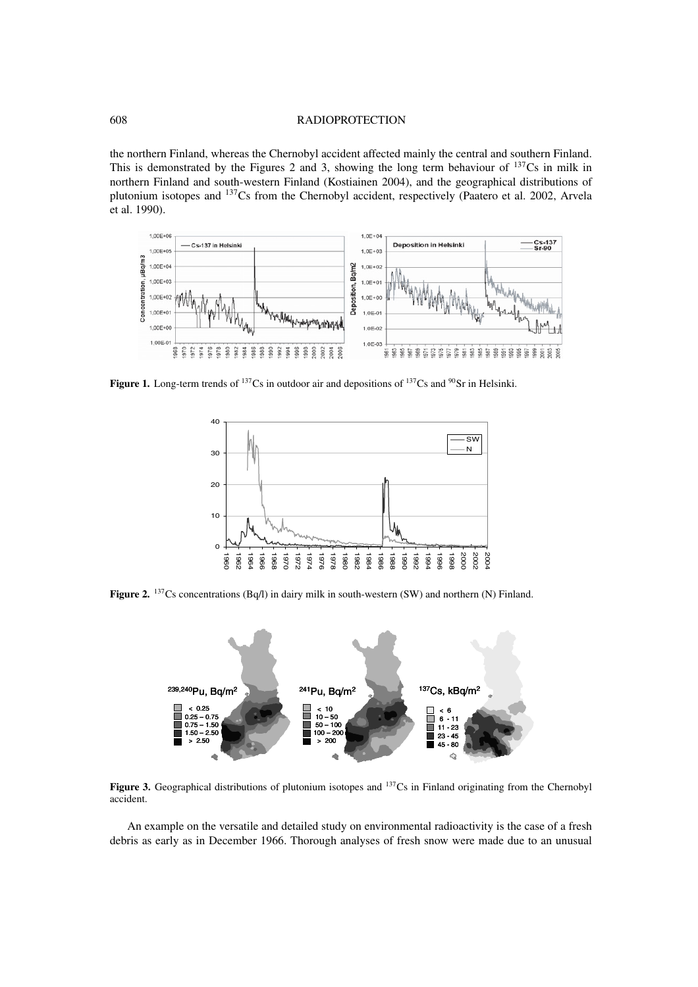### 608 RADIOPROTECTION

the northern Finland, whereas the Chernobyl accident affected mainly the central and southern Finland. This is demonstrated by the Figures 2 and 3, showing the long term behaviour of <sup>137</sup>Cs in milk in northern Finland and south-western Finland (Kostiainen 2004), and the geographical distributions of plutonium isotopes and 137Cs from the Chernobyl accident, respectively (Paatero et al. 2002, Arvela et al. 1990).



Figure 1. Long-term trends of <sup>137</sup>Cs in outdoor air and depositions of <sup>137</sup>Cs and <sup>90</sup>Sr in Helsinki.



Figure 2. <sup>137</sup>Cs concentrations (Bq/l) in dairy milk in south-western (SW) and northern (N) Finland.



Figure 3. Geographical distributions of plutonium isotopes and <sup>137</sup>Cs in Finland originating from the Chernobyl accident.

An example on the versatile and detailed study on environmental radioactivity is the case of a fresh debris as early as in December 1966. Thorough analyses of fresh snow were made due to an unusual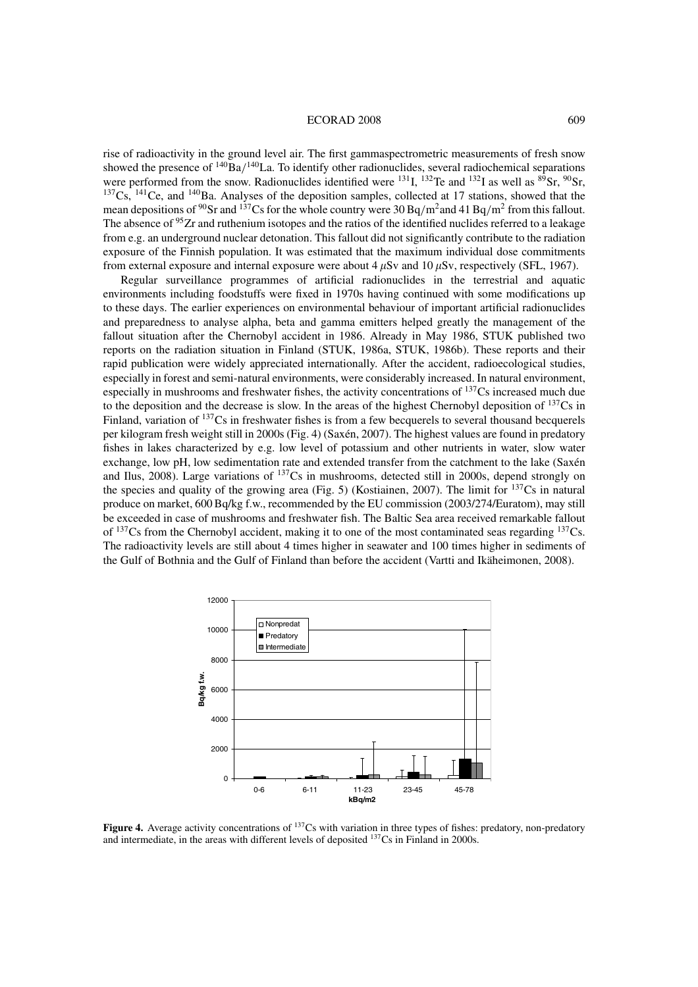#### ECORAD 2008 609

rise of radioactivity in the ground level air. The first gammaspectrometric measurements of fresh snow showed the presence of  $\frac{140}{Ba}/\frac{140}{1a}$ . To identify other radionuclides, several radiochemical separations were performed from the snow. Radionuclides identified were  $^{131}$ I,  $^{132}$ Te and  $^{132}$ I as well as  $^{89}$ Sr,  $^{90}$ Sr,  $137Cs$ ,  $141Ce$ , and  $140Ba$ . Analyses of the deposition samples, collected at 17 stations, showed that the mean depositions of <sup>90</sup>Sr and <sup>137</sup>Cs for the whole country were 30 Bq/m<sup>2</sup> and 41 Bq/m<sup>2</sup> from this fallout. The absence of <sup>95</sup>Zr and ruthenium isotopes and the ratios of the identified nuclides referred to a leakage from e.g. an underground nuclear detonation. This fallout did not significantly contribute to the radiation exposure of the Finnish population. It was estimated that the maximum individual dose commitments from external exposure and internal exposure were about  $4 \mu Sv$  and  $10 \mu Sv$ , respectively (SFL, 1967).

Regular surveillance programmes of artificial radionuclides in the terrestrial and aquatic environments including foodstuffs were fixed in 1970s having continued with some modifications up to these days. The earlier experiences on environmental behaviour of important artificial radionuclides and preparedness to analyse alpha, beta and gamma emitters helped greatly the management of the fallout situation after the Chernobyl accident in 1986. Already in May 1986, STUK published two reports on the radiation situation in Finland (STUK, 1986a, STUK, 1986b). These reports and their rapid publication were widely appreciated internationally. After the accident, radioecological studies, especially in forest and semi-natural environments, were considerably increased. In natural environment, especially in mushrooms and freshwater fishes, the activity concentrations of 137Cs increased much due to the deposition and the decrease is slow. In the areas of the highest Chernobyl deposition of  $137$ Cs in Finland, variation of <sup>137</sup>Cs in freshwater fishes is from a few becquerels to several thousand becquerels per kilogram fresh weight still in 2000s (Fig. 4) (Saxén, 2007). The highest values are found in predatory fishes in lakes characterized by e.g. low level of potassium and other nutrients in water, slow water exchange, low pH, low sedimentation rate and extended transfer from the catchment to the lake (Saxén and Ilus, 2008). Large variations of 137Cs in mushrooms, detected still in 2000s, depend strongly on the species and quality of the growing area (Fig. 5) (Kostiainen, 2007). The limit for  $137\text{Cs}$  in natural produce on market, 600 Bq/kg f.w., recommended by the EU commission (2003/274/Euratom), may still be exceeded in case of mushrooms and freshwater fish. The Baltic Sea area received remarkable fallout of  $137Cs$  from the Chernobyl accident, making it to one of the most contaminated seas regarding  $137Cs$ . The radioactivity levels are still about 4 times higher in seawater and 100 times higher in sediments of the Gulf of Bothnia and the Gulf of Finland than before the accident (Vartti and Ikäheimonen, 2008).



**Figure 4.** Average activity concentrations of <sup>137</sup>Cs with variation in three types of fishes: predatory, non-predatory and intermediate, in the areas with different levels of deposited 137Cs in Finland in 2000s.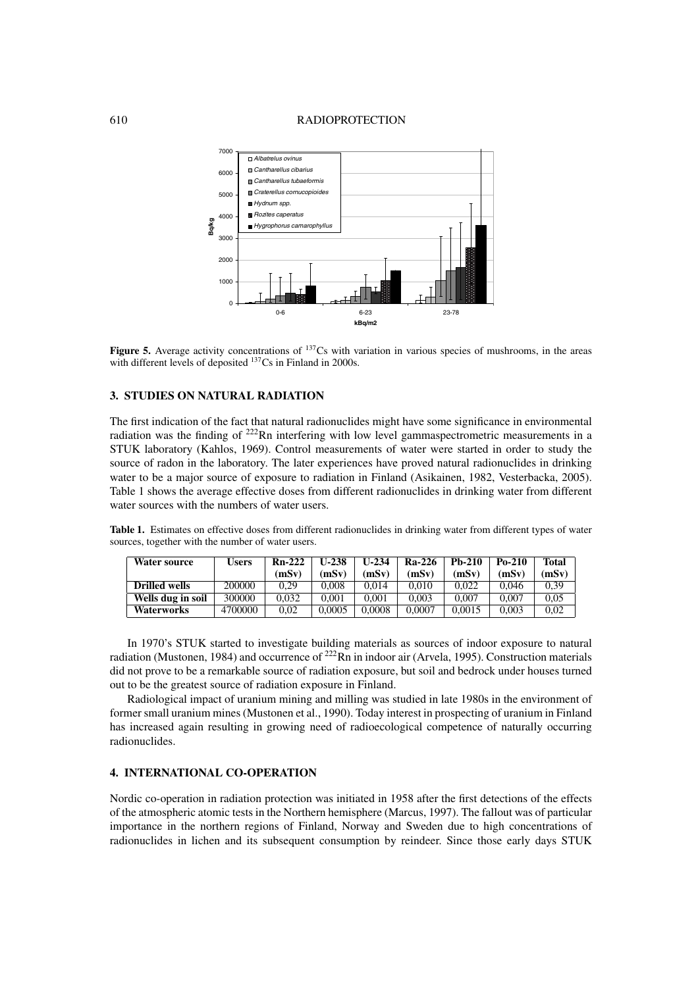#### 610 RADIOPROTECTION



**Figure 5.** Average activity concentrations of <sup>137</sup>Cs with variation in various species of mushrooms, in the areas with different levels of deposited <sup>137</sup>Cs in Finland in 2000s.

## **3. STUDIES ON NATURAL RADIATION**

The first indication of the fact that natural radionuclides might have some significance in environmental radiation was the finding of <sup>222</sup>Rn interfering with low level gammaspectrometric measurements in a STUK laboratory (Kahlos, 1969). Control measurements of water were started in order to study the source of radon in the laboratory. The later experiences have proved natural radionuclides in drinking water to be a major source of exposure to radiation in Finland (Asikainen, 1982, Vesterbacka, 2005). Table 1 shows the average effective doses from different radionuclides in drinking water from different water sources with the numbers of water users.

**Table 1.** Estimates on effective doses from different radionuclides in drinking water from different types of water sources, together with the number of water users.

| Water source      | Users   | $Rn-222$ | U-238  | U-234  | Ra-226 | $Ph-210$ | $Po-210$ | Total |
|-------------------|---------|----------|--------|--------|--------|----------|----------|-------|
|                   |         | (mSv)    | (mSv)  | (mSv)  | (mSv)  | (mSv)    | (mSv)    | (mSv) |
| Drilled wells     | 200000  | 0.29     | 0.008  | 0.014  | 0.010  | 0.022    | 0.046    | 0.39  |
| Wells dug in soil | 300000  | 0.032    | 0.001  | 0.001  | 0.003  | 0.007    | 0.007    | 0.05  |
| <b>Waterworks</b> | 4700000 | 0.02     | 0.0005 | 0.0008 | 0.0007 | 0.0015   | 0.003    | 0.02  |

In 1970's STUK started to investigate building materials as sources of indoor exposure to natural radiation (Mustonen, 1984) and occurrence of <sup>222</sup>Rn in indoor air (Arvela, 1995). Construction materials did not prove to be a remarkable source of radiation exposure, but soil and bedrock under houses turned out to be the greatest source of radiation exposure in Finland.

Radiological impact of uranium mining and milling was studied in late 1980s in the environment of former small uranium mines (Mustonen et al., 1990). Today interest in prospecting of uranium in Finland has increased again resulting in growing need of radioecological competence of naturally occurring radionuclides.

### **4. INTERNATIONAL CO-OPERATION**

Nordic co-operation in radiation protection was initiated in 1958 after the first detections of the effects of the atmospheric atomic tests in the Northern hemisphere (Marcus, 1997). The fallout was of particular importance in the northern regions of Finland, Norway and Sweden due to high concentrations of radionuclides in lichen and its subsequent consumption by reindeer. Since those early days STUK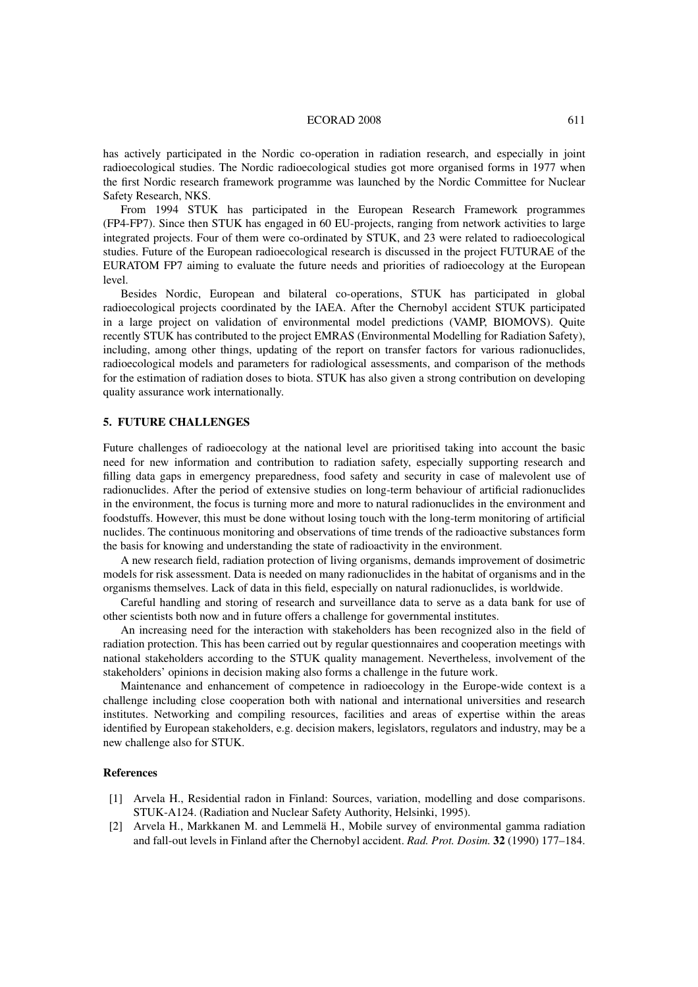#### ECORAD 2008 611

has actively participated in the Nordic co-operation in radiation research, and especially in joint radioecological studies. The Nordic radioecological studies got more organised forms in 1977 when the first Nordic research framework programme was launched by the Nordic Committee for Nuclear Safety Research, NKS.

From 1994 STUK has participated in the European Research Framework programmes (FP4-FP7). Since then STUK has engaged in 60 EU-projects, ranging from network activities to large integrated projects. Four of them were co-ordinated by STUK, and 23 were related to radioecological studies. Future of the European radioecological research is discussed in the project FUTURAE of the EURATOM FP7 aiming to evaluate the future needs and priorities of radioecology at the European level.

Besides Nordic, European and bilateral co-operations, STUK has participated in global radioecological projects coordinated by the IAEA. After the Chernobyl accident STUK participated in a large project on validation of environmental model predictions (VAMP, BIOMOVS). Quite recently STUK has contributed to the project EMRAS (Environmental Modelling for Radiation Safety), including, among other things, updating of the report on transfer factors for various radionuclides, radioecological models and parameters for radiological assessments, and comparison of the methods for the estimation of radiation doses to biota. STUK has also given a strong contribution on developing quality assurance work internationally.

### **5. FUTURE CHALLENGES**

Future challenges of radioecology at the national level are prioritised taking into account the basic need for new information and contribution to radiation safety, especially supporting research and filling data gaps in emergency preparedness, food safety and security in case of malevolent use of radionuclides. After the period of extensive studies on long-term behaviour of artificial radionuclides in the environment, the focus is turning more and more to natural radionuclides in the environment and foodstuffs. However, this must be done without losing touch with the long-term monitoring of artificial nuclides. The continuous monitoring and observations of time trends of the radioactive substances form the basis for knowing and understanding the state of radioactivity in the environment.

A new research field, radiation protection of living organisms, demands improvement of dosimetric models for risk assessment. Data is needed on many radionuclides in the habitat of organisms and in the organisms themselves. Lack of data in this field, especially on natural radionuclides, is worldwide.

Careful handling and storing of research and surveillance data to serve as a data bank for use of other scientists both now and in future offers a challenge for governmental institutes.

An increasing need for the interaction with stakeholders has been recognized also in the field of radiation protection. This has been carried out by regular questionnaires and cooperation meetings with national stakeholders according to the STUK quality management. Nevertheless, involvement of the stakeholders' opinions in decision making also forms a challenge in the future work.

Maintenance and enhancement of competence in radioecology in the Europe-wide context is a challenge including close cooperation both with national and international universities and research institutes. Networking and compiling resources, facilities and areas of expertise within the areas identified by European stakeholders, e.g. decision makers, legislators, regulators and industry, may be a new challenge also for STUK.

#### **References**

- [1] Arvela H., Residential radon in Finland: Sources, variation, modelling and dose comparisons. STUK-A124. (Radiation and Nuclear Safety Authority, Helsinki, 1995).
- [2] Arvela H., Markkanen M. and Lemmelä H., Mobile survey of environmental gamma radiation and fall-out levels in Finland after the Chernobyl accident. *Rad. Prot. Dosim.* **32** (1990) 177–184.